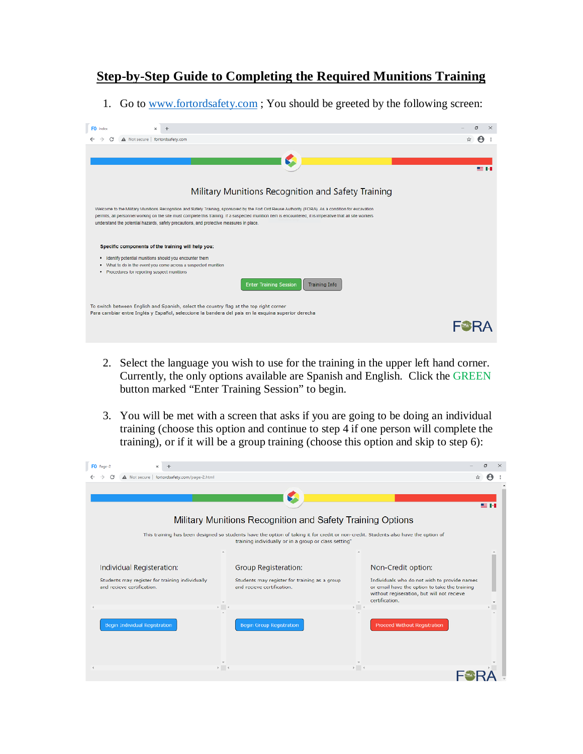## **Step-by-Step Guide to Completing the Required Munitions Training**

1. Go to [www.fortordsafety.com](http://www.fortordsafety.com/); You should be greeted by the following screen:

| FO index<br>$\times$                                                                                                                                                                                                                                                                                                                                                                                                                                               | α<br>×        |
|--------------------------------------------------------------------------------------------------------------------------------------------------------------------------------------------------------------------------------------------------------------------------------------------------------------------------------------------------------------------------------------------------------------------------------------------------------------------|---------------|
| A Not secure   fortordsafety.com                                                                                                                                                                                                                                                                                                                                                                                                                                   |               |
|                                                                                                                                                                                                                                                                                                                                                                                                                                                                    |               |
|                                                                                                                                                                                                                                                                                                                                                                                                                                                                    |               |
|                                                                                                                                                                                                                                                                                                                                                                                                                                                                    | <b>SE 141</b> |
|                                                                                                                                                                                                                                                                                                                                                                                                                                                                    |               |
| Military Munitions Recognition and Safety Training                                                                                                                                                                                                                                                                                                                                                                                                                 |               |
| Welcome to the Military Munitions Recognition and Safety Training, sponsored by the Fort Ord Reuse Authority (FORA). As a condition for excavation<br>permits, all personnel working on the site must complete this training. If a suspected munition item is encountered, it is imperative that all site workers<br>understand the potential hazards, safety precautions, and protective measures in place.<br>Specific components of the training will help you: |               |
| Identify potential munitions should you encounter them<br>٠                                                                                                                                                                                                                                                                                                                                                                                                        |               |
| . What to do in the event you come across a suspected munition                                                                                                                                                                                                                                                                                                                                                                                                     |               |
| • Procedures for reporting suspect munitions                                                                                                                                                                                                                                                                                                                                                                                                                       |               |
| <b>Enter Training Session</b><br><b>Training Info</b>                                                                                                                                                                                                                                                                                                                                                                                                              |               |
| To switch between English and Spanish, select the country flag at the top right corner                                                                                                                                                                                                                                                                                                                                                                             |               |
| Para cambiar entre Inglés y Español, seleccione la bandera del país en la esquina superior derecha                                                                                                                                                                                                                                                                                                                                                                 |               |
|                                                                                                                                                                                                                                                                                                                                                                                                                                                                    |               |

- 2. Select the language you wish to use for the training in the upper left hand corner. Currently, the only options available are Spanish and English. Click the GREEN button marked "Enter Training Session" to begin.
- 3. You will be met with a screen that asks if you are going to be doing an individual training (choose this option and continue to step 4 if one person will complete the training), or if it will be a group training (choose this option and skip to step 6):

| FO Page-2                                                                                                  |                                                                                                                                                                                              | л                                                                                                                                                                                                   |
|------------------------------------------------------------------------------------------------------------|----------------------------------------------------------------------------------------------------------------------------------------------------------------------------------------------|-----------------------------------------------------------------------------------------------------------------------------------------------------------------------------------------------------|
| A Not secure   fortordsafety.com/page-2.html                                                               |                                                                                                                                                                                              | ☆                                                                                                                                                                                                   |
|                                                                                                            | Military Munitions Recognition and Safety Training Options                                                                                                                                   | 黒田                                                                                                                                                                                                  |
|                                                                                                            | This training has been designed so students have the option of taking it for credit or non-credit. Students also have the option of<br>training individually or in a group or class setting" |                                                                                                                                                                                                     |
| Individual Registeration:<br>Students may register for training individually<br>and recieve certification. | Group Registeration:<br>Students may register for training as a group<br>and recieve certification.<br>$\mathbb{F}$                                                                          | Non-Credit option:<br>Individuals who do not wish to provide names<br>or email have the option to take the training<br>without regiseration, but will not recieve<br>certification.<br>$\mathbb{R}$ |
| <b>Begin Individual Registration</b>                                                                       | <b>Begin Group Registration</b>                                                                                                                                                              | <b>Proceed Without Registration</b>                                                                                                                                                                 |
|                                                                                                            | $\mathbb{R}$ .<br><br>4                                                                                                                                                                      | $\rightarrow$ 4                                                                                                                                                                                     |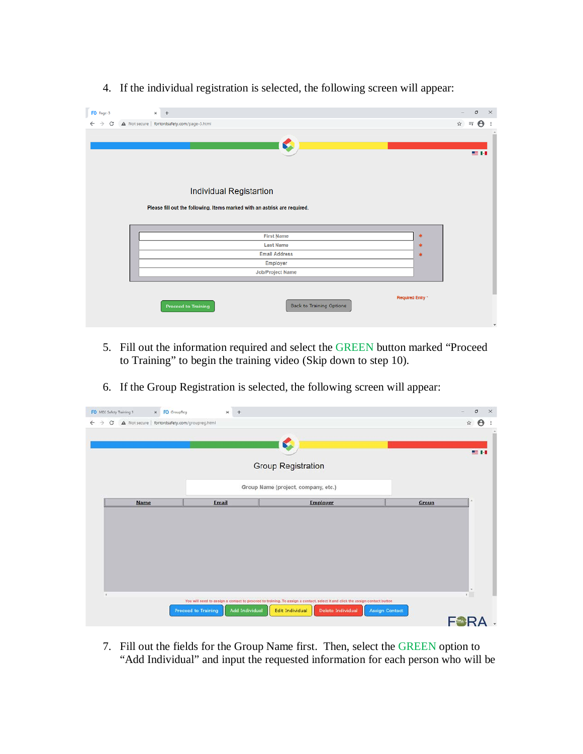4. If the individual registration is selected, the following screen will appear:

| FO Page-3                          | $\times$ +                                                                |                                 |                  | σ<br>$\times$<br>$\frac{1}{2}$                         |
|------------------------------------|---------------------------------------------------------------------------|---------------------------------|------------------|--------------------------------------------------------|
| $\leftarrow$<br>$\rightarrow$<br>C | A Not secure   fortordsafety.com/page-3.html                              |                                 |                  | $\boldsymbol{\Theta}$<br>☆<br>≡₽<br>$\ddot{\ddot{\ }}$ |
|                                    |                                                                           |                                 |                  |                                                        |
|                                    |                                                                           |                                 |                  |                                                        |
|                                    |                                                                           |                                 |                  | 雪田                                                     |
|                                    |                                                                           |                                 |                  |                                                        |
|                                    |                                                                           |                                 |                  |                                                        |
|                                    | Individual Registartion                                                   |                                 |                  |                                                        |
|                                    |                                                                           |                                 |                  |                                                        |
|                                    | Please fill out the following. Items marked with an astrisk are required. |                                 |                  |                                                        |
|                                    |                                                                           |                                 |                  |                                                        |
|                                    |                                                                           | <b>First Name</b>               | *                |                                                        |
|                                    |                                                                           | <b>Last Name</b>                | $\ast$           |                                                        |
|                                    |                                                                           | <b>Email Address</b>            | *                |                                                        |
|                                    |                                                                           | Employer                        |                  |                                                        |
|                                    |                                                                           | Job/Project Name                |                  |                                                        |
|                                    |                                                                           |                                 |                  |                                                        |
|                                    |                                                                           |                                 | Required Entry * |                                                        |
|                                    | <b>Proceed to Training</b>                                                | <b>Back to Training Options</b> |                  |                                                        |
|                                    |                                                                           |                                 |                  |                                                        |
|                                    |                                                                           |                                 |                  | $\mathbf{v}$                                           |

- 5. Fill out the information required and select the GREEN button marked "Proceed to Training" to begin the training video (Skip down to step 10).
- 6. If the Group Registration is selected, the following screen will appear:

|             |              |                                     |       | 聖日 |
|-------------|--------------|-------------------------------------|-------|----|
|             |              | <b>Group Registration</b>           |       |    |
|             |              | Group Name (project, company, etc.) |       |    |
| <b>Name</b> | <b>Email</b> | <b>Employer</b>                     | Group |    |
|             |              |                                     |       |    |
|             |              |                                     |       |    |
|             |              |                                     |       |    |
|             |              |                                     |       |    |
|             |              |                                     |       |    |
|             |              |                                     |       |    |
|             |              |                                     |       |    |
|             |              |                                     |       |    |
|             |              |                                     |       |    |
|             |              |                                     |       |    |

7. Fill out the fields for the Group Name first. Then, select the GREEN option to "Add Individual" and input the requested information for each person who will be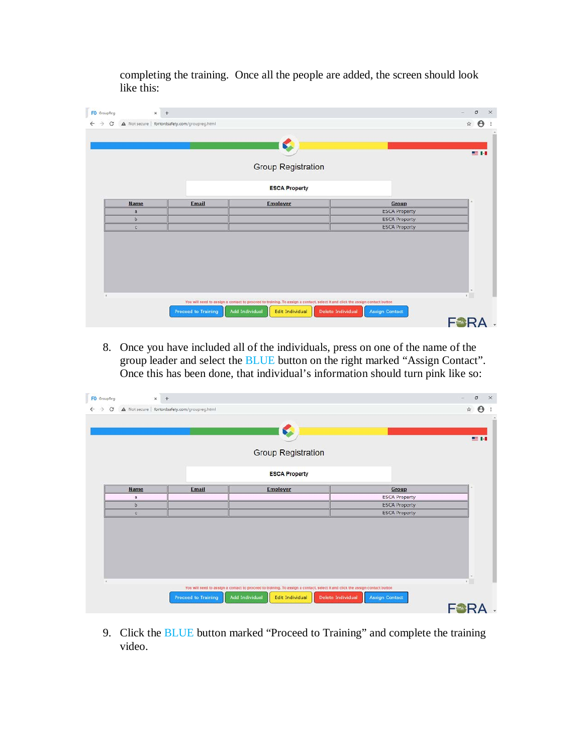completing the training. Once all the people are added, the screen should look like this:

|              |              | <b>Group Registration</b> |                      |
|--------------|--------------|---------------------------|----------------------|
|              |              | <b>ESCA Property</b>      |                      |
| <b>Name</b>  | <b>Email</b> | <b>Employer</b>           | Group                |
| a            |              |                           | <b>ESCA Property</b> |
| b            |              |                           | <b>ESCA Property</b> |
| $\mathbf{C}$ |              |                           | <b>ESCA Property</b> |
|              |              |                           |                      |

8. Once you have included all of the individuals, press on one of the name of the group leader and select the BLUE button on the right marked "Assign Contact". Once this has been done, that individual's information should turn pink like so:

|              |              | <b>Group Registration</b> |                      |  |
|--------------|--------------|---------------------------|----------------------|--|
|              |              | <b>ESCA Property</b>      |                      |  |
| <b>Name</b>  | <b>Email</b> | <b>Employer</b>           | Group                |  |
| a            |              |                           | <b>ESCA Property</b> |  |
| $\mathbf b$  |              |                           | <b>ESCA Property</b> |  |
| $\mathbf{C}$ |              |                           | <b>ESCA Property</b> |  |
|              |              |                           |                      |  |

9. Click the BLUE button marked "Proceed to Training" and complete the training video.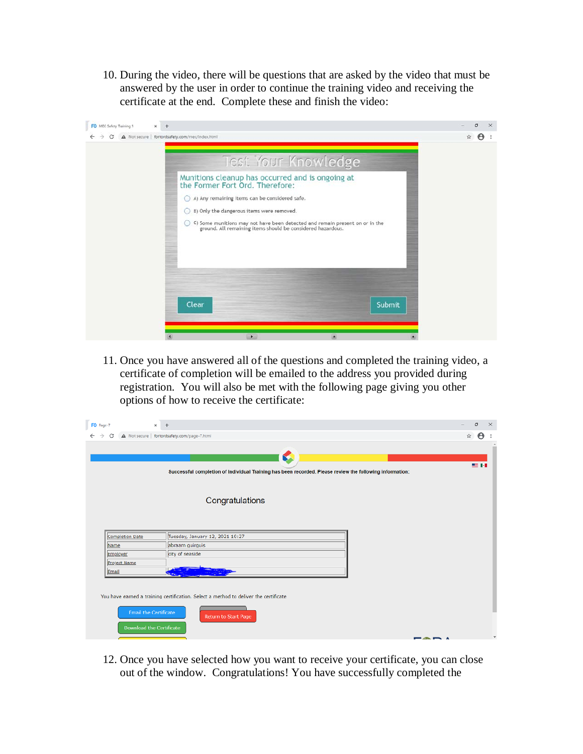10. During the video, there will be questions that are asked by the video that must be answered by the user in order to continue the training video and receiving the certificate at the end. Complete these and finish the video:



11. Once you have answered all of the questions and completed the training video, a certificate of completion will be emailed to the address you provided during registration. You will also be met with the following page giving you other options of how to receive the certificate:

| FO Page-7                                                       | $\times$ +                                                                                                    | σ<br>$\times$              |
|-----------------------------------------------------------------|---------------------------------------------------------------------------------------------------------------|----------------------------|
| $\leftarrow$ $\rightarrow$<br>C                                 | A Not secure   fortordsafety.com/page-7.html                                                                  | $\boldsymbol{\Theta}$<br>☆ |
|                                                                 | €<br>Successful completion of Individual Training has been recorded. Please review the following information: | 事例                         |
|                                                                 | Congratulations                                                                                               |                            |
| <b>Completion Date</b>                                          | Tuesday, January 12, 2021 10:27                                                                               |                            |
| Name                                                            | abraam guirguis                                                                                               |                            |
| Employer                                                        | city of seaside                                                                                               |                            |
| <b>Project Name</b>                                             |                                                                                                               |                            |
| Email                                                           |                                                                                                               |                            |
| <b>Email the Certificate</b><br><b>Download the Certificate</b> | You have earned a training certification. Select a method to deliver the certificate<br>Return to Start Page  |                            |

12. Once you have selected how you want to receive your certificate, you can close out of the window. Congratulations! You have successfully completed the